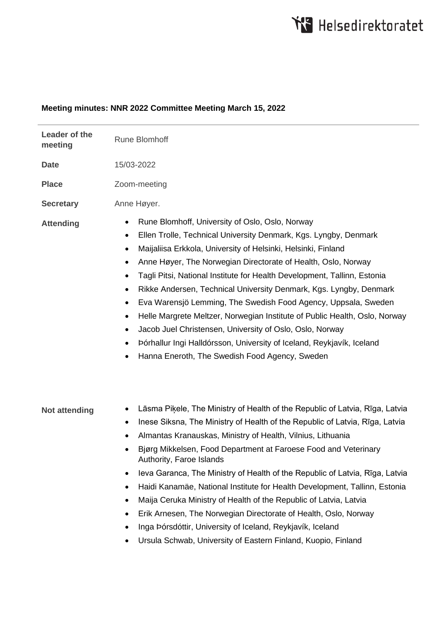# **Meeting minutes: NNR 2022 Committee Meeting March 15, 2022**

| Leader of the<br>meeting | <b>Rune Blomhoff</b>                                                                                                                                                                                                                                                                                                                                                                                                                                                                                                                                                                                                                                                                                                                                                                                                                                     |
|--------------------------|----------------------------------------------------------------------------------------------------------------------------------------------------------------------------------------------------------------------------------------------------------------------------------------------------------------------------------------------------------------------------------------------------------------------------------------------------------------------------------------------------------------------------------------------------------------------------------------------------------------------------------------------------------------------------------------------------------------------------------------------------------------------------------------------------------------------------------------------------------|
| <b>Date</b>              | 15/03-2022                                                                                                                                                                                                                                                                                                                                                                                                                                                                                                                                                                                                                                                                                                                                                                                                                                               |
| <b>Place</b>             | Zoom-meeting                                                                                                                                                                                                                                                                                                                                                                                                                                                                                                                                                                                                                                                                                                                                                                                                                                             |
| <b>Secretary</b>         | Anne Høyer.                                                                                                                                                                                                                                                                                                                                                                                                                                                                                                                                                                                                                                                                                                                                                                                                                                              |
| <b>Attending</b>         | Rune Blomhoff, University of Oslo, Oslo, Norway<br>٠<br>Ellen Trolle, Technical University Denmark, Kgs. Lyngby, Denmark<br>٠<br>Maijaliisa Erkkola, University of Helsinki, Helsinki, Finland<br>$\bullet$<br>Anne Høyer, The Norwegian Directorate of Health, Oslo, Norway<br>$\bullet$<br>Tagli Pitsi, National Institute for Health Development, Tallinn, Estonia<br>$\bullet$<br>Rikke Andersen, Technical University Denmark, Kgs. Lyngby, Denmark<br>٠<br>Eva Warensjö Lemming, The Swedish Food Agency, Uppsala, Sweden<br>$\bullet$<br>Helle Margrete Meltzer, Norwegian Institute of Public Health, Oslo, Norway<br>$\bullet$<br>Jacob Juel Christensen, University of Oslo, Oslo, Norway<br>$\bullet$<br>Þórhallur Ingi Halldórsson, University of Iceland, Reykjavík, Iceland<br>$\bullet$<br>Hanna Eneroth, The Swedish Food Agency, Sweden |
| <b>Not attending</b>     | Lāsma Piķele, The Ministry of Health of the Republic of Latvia, Rīga, Latvia<br>$\bullet$<br>Inese Siksna, The Ministry of Health of the Republic of Latvia, Rīga, Latvia<br>$\bullet$<br>Almantas Kranauskas, Ministry of Health, Vilnius, Lithuania<br>٠<br>Bjørg Mikkelsen, Food Department at Faroese Food and Veterinary<br>Authority, Faroe Islands<br>leva Garanca, The Ministry of Health of the Republic of Latvia, Rīga, Latvia<br>٠<br>Haidi Kanamäe, National Institute for Health Development, Tallinn, Estonia<br>٠<br>Maija Ceruka Ministry of Health of the Republic of Latvia, Latvia<br>٠<br>Erik Arnesen, The Norwegian Directorate of Health, Oslo, Norway<br>٠<br>Inga Þórsdóttir, University of Iceland, Reykjavík, Iceland<br>٠<br>Ursula Schwab, University of Eastern Finland, Kuopio, Finland                                  |